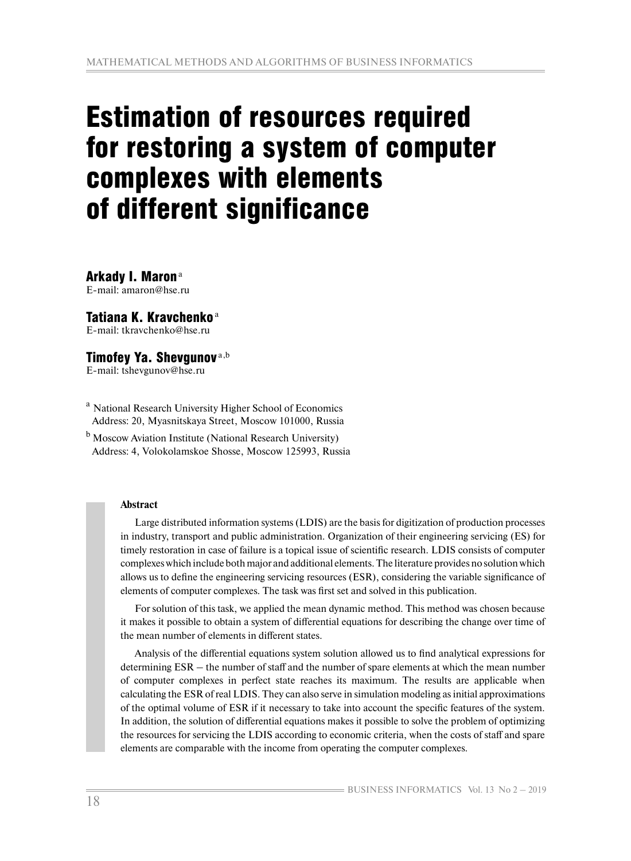# Estimation of resources required for restoring a system of computer complexes with elements of different significance

Arkady I. Maron<sup>a</sup> E-mail: amaron@hse.ru

# Tatiana K. Kravchenko $a$

E-mail: tkravchenko@hse.ru

# Timofey Ya. Shevgunov<sup>a,b</sup>

E-mail: tshevgunov@hse.ru

<sup>a</sup> National Research University Higher School of Economics Address: 20, Myasnitskaya Street, Moscow 101000, Russia

<sup>b</sup> Moscow Aviation Institute (National Research University) Address: 4, Volokolamskoe Shosse, Moscow 125993, Russia

## **Abstract**

Large distributed information systems (LDIS) are the basis for digitization of production processes in industry, transport and public administration. Organization of their engineering servicing (ES) for timely restoration in case of failure is a topical issue of scientific research. LDIS consists of computer complexes which include both major and additional elements. The literature provides no solution which allows us to define the engineering servicing resources (ESR), considering the variable significance of elements of computer complexes. The task was first set and solved in this publication.

For solution of this task, we applied the mean dynamic method. This method was chosen because it makes it possible to obtain a system of differential equations for describing the change over time of the mean number of elements in different states.

Analysis of the differential equations system solution allowed us to find analytical expressions for determining ESR – the number of staff and the number of spare elements at which the mean number of computer complexes in perfect state reaches its maximum. The results are applicable when calculating the ESR of real LDIS. They can also serve in simulation modeling as initial approximations of the optimal volume of ESR if it necessary to take into account the specific features of the system. In addition, the solution of differential equations makes it possible to solve the problem of optimizing the resources for servicing the LDIS according to economic criteria, when the costs of staff and spare elements are comparable with the income from operating the computer complexes.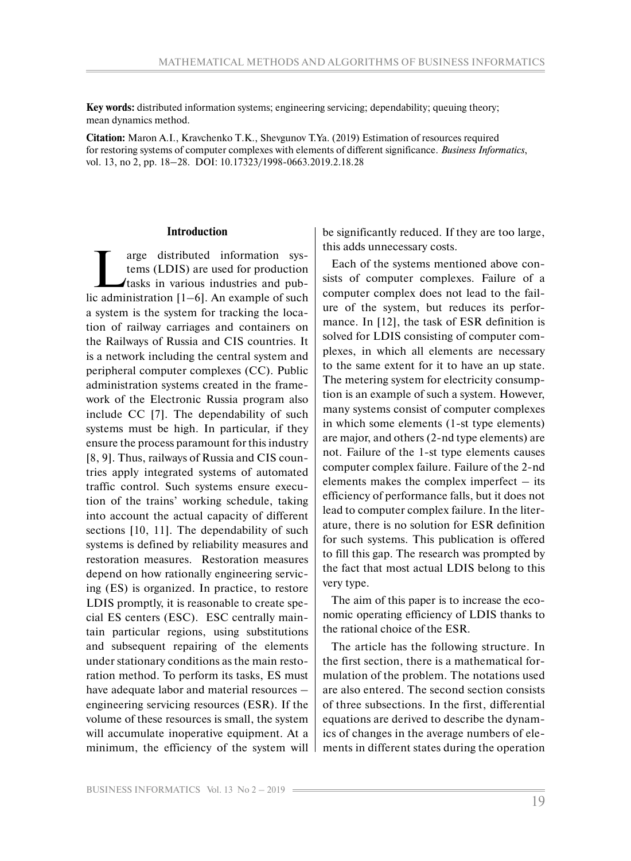**Key words:** distributed information systems; engineering servicing; dependability; queuing theory; mean dynamics method.

**Citation:** Maron A.I., Kravchenko T.K., Shevgunov T.Ya. (2019) Estimation of resources required for restoring systems of computer complexes with elements of different significance. *Business Informatics*, vol. 13, no 2, pp. 18–28. DOI: 10.17323/1998-0663.2019.2.18.28

#### **Introduction**

T arge distributed information sys-<br>tems (LDIS) are used for production<br>tasks in various industries and pub-<br>c administration [1, 6]. An example of such tems (LDIS) are used for production tasks in various industries and public administration [1–6]. An example of such a system is the system for tracking the location of railway carriages and containers on the Railways of Russia and CIS countries. It is a network including the central system and peripheral computer complexes (СС). Public administration systems created in the framework of the Electronic Russia program also include СС [7]. The dependability of such systems must be high. In particular, if they ensure the process paramount for this industry [8, 9]. Thus, railways of Russia and CIS countries apply integrated systems of automated traffic control. Such systems ensure execution of the trains' working schedule, taking into account the actual capacity of different sections [10, 11]. The dependability of such systems is defined by reliability measures and restoration measures. Restoration measures depend on how rationally engineering servicing (ES) is organized. In practice, to restore LDIS promptly, it is reasonable to create special ES centers (ESC). ESC centrally maintain particular regions, using substitutions and subsequent repairing of the elements under stationary conditions as the main restoration method. To perform its tasks, ES must have adequate labor and material resources – engineering servicing resources (ESR). If the volume of these resources is small, the system will accumulate inoperative equipment. At a minimum, the efficiency of the system will be significantly reduced. If they are too large, this adds unnecessary costs.

Each of the systems mentioned above consists of computer complexes. Failure of a computer complex does not lead to the failure of the system, but reduces its performance. In [12], the task of ESR definition is solved for LDIS consisting of computer complexes, in which all elements are necessary to the same extent for it to have an up state. The metering system for electricity consumption is an example of such a system. However, many systems consist of computer complexes in which some elements (1-st type elements) are major, and others (2-nd type elements) are not. Failure of the 1-st type elements causes computer complex failure. Failure of the 2-nd elements makes the complex imperfect  $-$  its efficiency of performance falls, but it does not lead to computer complex failure. In the literature, there is no solution for ESR definition for such systems. This publication is offered to fill this gap. The research was prompted by the fact that most actual LDIS belong to this very type.

The aim of this paper is to increase the economic operating efficiency of LDIS thanks to the rational choice of the ESR.

The article has the following structure. In the first section, there is a mathematical formulation of the problem. The notations used are also entered. The second section consists of three subsections. In the first, differential equations are derived to describe the dynamics of changes in the average numbers of elements in different states during the operation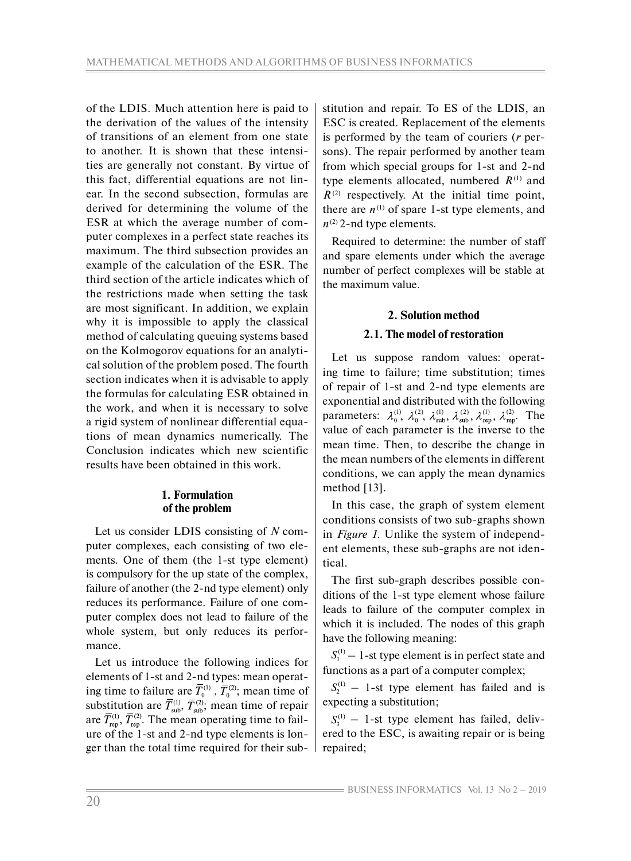of the LDIS. Much attention here is paid to the derivation of the values of the intensity of transitions of an element from one state to another. It is shown that these intensities are generally not constant. By virtue of this fact, differential equations are not linear. In the second subsection, formulas are derived for determining the volume of the ESR at which the average number of computer complexes in a perfect state reaches its maximum. The third subsection provides an example of the calculation of the ESR. The third section of the article indicates which of the restrictions made when setting the task are most significant. In addition, we explain why it is impossible to apply the classical method of calculating queuing systems based on the Kolmogorov equations for an analytical solution of the problem posed. The fourth section indicates when it is advisable to apply the formulas for calculating ESR obtained in the work, and when it is necessary to solve a rigid system of nonlinear differential equations of mean dynamics numerically. The Conclusion indicates which new scientific results have been obtained in this work.

## **1. Formulation of the problem**

Let us consider LDIS consisting of *N* computer complexes, each consisting of two elements. One of them (the 1-st type element) is compulsory for the up state of the complex, failure of another (the 2-nd type element) only reduces its performance. Failure of one computer complex does not lead to failure of the whole system, but only reduces its performance.

Let us introduce the following indices for elements of 1-st and 2-nd types: mean operating time to failure are  $T_0^{(1)}$ ,  $T_0^{(2)}$ ; mean time of substitution are  $T_{sub}^{(1)}$ ,  $T_{sub}^{(2)}$ ; mean time of repair are  $T_{\text{ren}}^{(1)}$ ,  $T_{\text{ren}}^{(2)}$ . The mean operating time to failure of the 1-st and 2-nd type elements is longer than the total time required for their substitution and repair. To ES of the LDIS, an ESC is created. Replacement of the elements is performed by the team of couriers (*r* persons). The repair performed by another team from which special groups for 1-st and 2-nd type elements allocated, numbered  $R^{(1)}$  and  $R^{(2)}$  respectively. At the initial time point, there are  $n^{(1)}$  of spare 1-st type elements, and  $n^{(2)}$  2-nd type elements.

Required to determine: the number of staff and spare elements under which the average number of perfect complexes will be stable at the maximum value.

# **2. Solution method**

# **2.1. The model of restoration**

Let us suppose random values: operating time to failure; time substitution; times of repair of 1-st and 2-nd type elements are exponential and distributed with the following parameters:  $\lambda_0^{(1)}$ ,  $\lambda_0^{(2)}$ ,  $\lambda_{\text{sub}}^{(1)}$ ,  $\lambda_{\text{sub}}^{(2)}$ ,  $\lambda_{\text{rep}}^{(1)}$ ,  $\lambda_{\text{rep}}^{(2)}$ . The value of each parameter is the inverse to the mean time. Then, to describe the change in the mean numbers of the elements in different conditions, we can apply the mean dynamics method [13].

In this case, the graph of system element conditions consists of two sub-graphs shown in *Figure 1*. Unlike the system of independent elements, these sub-graphs are not identical.

The first sub-graph describes possible conditions of the 1-st type element whose failure leads to failure of the computer complex in which it is included. The nodes of this graph have the following meaning:

 $S_1^{(1)}$  – 1-st type element is in perfect state and functions as a part of a computer complex;

 $S_2^{(1)}$  – 1-st type element has failed and is expecting a substitution;

 $S_1^{(1)}$  – 1-st type element has failed, delivered to the ESC, is awaiting repair or is being repaired;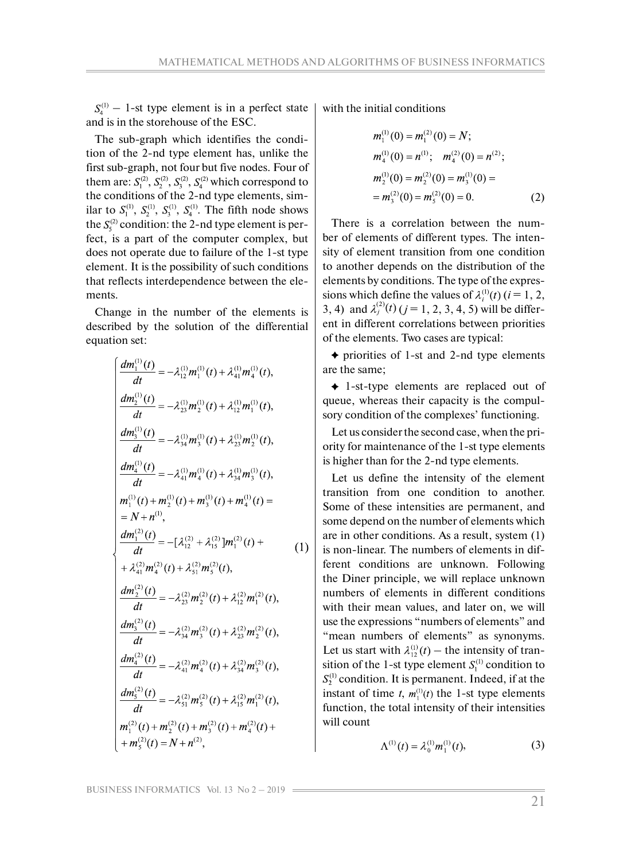$S_4^{(1)}$  – 1-st type element is in a perfect state and is in the storehouse of the ESC.

The sub-graph which identifies the condition of the 2-nd type element has, unlike the first sub-graph, not four but five nodes. Four of them are:  $S_1^{(2)}$ ,  $S_2^{(2)}$ ,  $S_3^{(2)}$ ,  $S_4^{(2)}$  which correspond to the conditions of the 2-nd type elements, similar to  $S_1^{(1)}$ ,  $S_2^{(1)}$ ,  $S_3^{(1)}$ ,  $S_4^{(1)}$ . The fifth node shows the  $S_5^{(2)}$  condition: the 2-nd type element is perfect, is a part of the computer complex, but does not operate due to failure of the 1-st type element. It is the possibility of such conditions that reflects interdependence between the elements.

Change in the number of the elements is described by the solution of the differential equation set:

$$
\frac{dm_1^{(1)}(t)}{dt} = -\lambda_{12}^{(1)}m_1^{(1)}(t) + \lambda_{41}^{(1)}m_4^{(1)}(t),
$$
\n
$$
\frac{dm_2^{(1)}(t)}{dt} = -\lambda_{23}^{(1)}m_2^{(1)}(t) + \lambda_{12}^{(1)}m_1^{(1)}(t),
$$
\n
$$
\frac{dm_3^{(1)}(t)}{dt} = -\lambda_{34}^{(1)}m_3^{(1)}(t) + \lambda_{23}^{(1)}m_2^{(1)}(t),
$$
\n
$$
\frac{dm_4^{(1)}(t)}{dt} = -\lambda_{41}^{(1)}m_4^{(1)}(t) + \lambda_{34}^{(1)}m_3^{(1)}(t),
$$
\n
$$
m_1^{(1)}(t) + m_2^{(1)}(t) + m_3^{(1)}(t) + m_4^{(1)}(t) =
$$
\n
$$
= N + n^{(1)},
$$
\n
$$
\frac{dm_1^{(2)}(t)}{dt} = -[\lambda_{12}^{(2)} + \lambda_{15}^{(2)}]m_1^{(2)}(t) +
$$
\n
$$
+ \lambda_{41}^{(2)}m_4^{(2)}(t) + \lambda_{51}^{(2)}m_5^{(2)}(t),
$$
\n
$$
\frac{dm_2^{(2)}(t)}{dt} = -\lambda_{23}^{(2)}m_2^{(2)}(t) + \lambda_{12}^{(2)}m_2^{(2)}(t),
$$
\n
$$
\frac{dm_3^{(2)}(t)}{dt} = -\lambda_{41}^{(2)}m_3^{(2)}(t) + \lambda_{34}^{(2)}m_3^{(2)}(t),
$$
\n
$$
\frac{dm_4^{(2)}(t)}{dt} = -\lambda_{51}^{(2)}m_2^{(2)}(t) + \lambda_{15}^{(2)}m_1^{(2)}(t),
$$
\n
$$
m_1^{(2)}(t) + m_2^{(2)}(t) + m_3^{(2)}(t) + m_4^{(2)}(t) +
$$
\n
$$
+ m_5^{(2)}(t) = N + n^{(2)},
$$

with the initial conditions

$$
m_1^{(1)}(0) = m_1^{(2)}(0) = N;
$$
  
\n
$$
m_4^{(1)}(0) = n^{(1)}; \quad m_4^{(2)}(0) = n^{(2)};
$$
  
\n
$$
m_2^{(1)}(0) = m_2^{(2)}(0) = m_3^{(1)}(0) =
$$
  
\n
$$
= m_3^{(2)}(0) = m_5^{(2)}(0) = 0.
$$
 (2)

There is a correlation between the number of elements of different types. The intensity of element transition from one condition to another depends on the distribution of the elements by conditions. The type of the expressions which define the values of  $\lambda_i^{(1)}(t)$  ( $i = 1, 2,$ 3, 4) and  $\lambda_i^{(2)}(t)$  ( $j = 1, 2, 3, 4, 5$ ) will be different in different correlations between priorities of the elements. Two cases are typical:

 $\rightarrow$  priorities of 1-st and 2-nd type elements are the same;

 1-st-type elements are replaced out of queue, whereas their capacity is the compulsory condition of the complexes' functioning.

Let us consider the second case, when the priority for maintenance of the 1-st type elements is higher than for the 2-nd type elements.

Let us define the intensity of the element transition from one condition to another. Some of these intensities are permanent, and some depend on the number of elements which are in other conditions. As a result, system (1) is non-linear. The numbers of elements in different conditions are unknown. Following the Diner principle, we will replace unknown numbers of elements in different conditions with their mean values, and later on, we will use the expressions "numbers of elements" and "mean numbers of elements" as synonyms. Let us start with  $\lambda_{12}^{(1)}(t)$  – the intensity of transition of the 1-st type element  $S_1^{(1)}$  condition to  $S_2^{(1)}$  condition. It is permanent. Indeed, if at the instant of time *t*,  $m_1^{(1)}(t)$  the 1-st type elements function, the total intensity of their intensities will count

$$
\Lambda^{(1)}(t) = \lambda_0^{(1)} m_1^{(1)}(t), \tag{3}
$$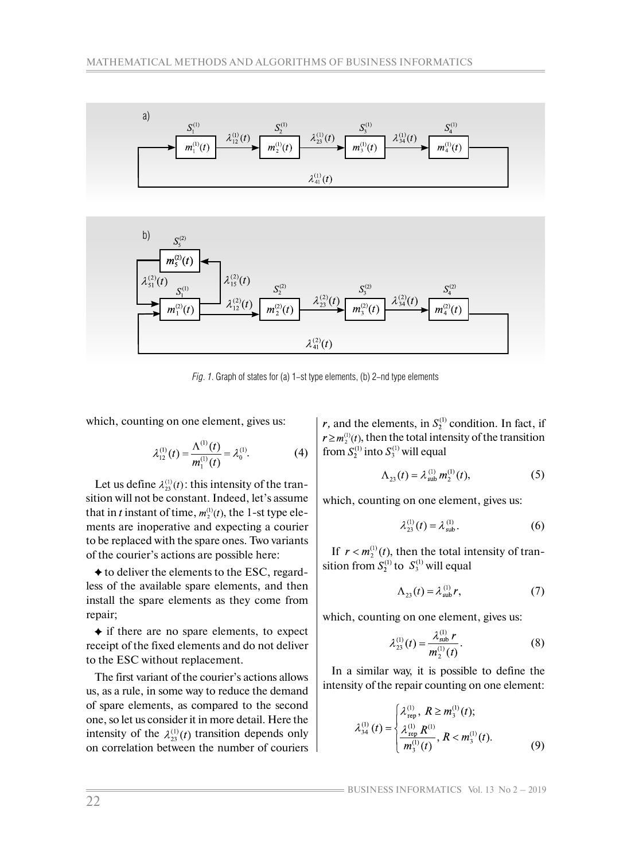



*Fig. 1*. Graph of states for (a) 1-st type elements, (b) 2-nd type elements

which, counting on one element, gives us:

$$
\lambda_{12}^{(1)}(t) = \frac{\Lambda^{(1)}(t)}{m_1^{(1)}(t)} = \lambda_0^{(1)}.
$$
 (4)

Let us define  $\lambda_{23}^{(1)}(t)$ : this intensity of the transition will not be constant. Indeed, let's assume that in t instant of time,  $m_2^{(1)}(t)$ , the 1-st type elements are inoperative and expecting a courier to be replaced with the spare ones. Two variants of the courier's actions are possible here:

 $\triangle$  to deliver the elements to the ESC, regardless of the available spare elements, and then install the spare elements as they come from repair;

 $\triangle$  if there are no spare elements, to expect receipt of the fixed elements and do not deliver to the ESC without replacement.

The first variant of the courier's actions allows us, as a rule, in some way to reduce the demand of spare elements, as compared to the second one, so let us consider it in more detail. Here the intensity of the  $\lambda_{23}^{(1)}(t)$  transition depends only on correlation between the number of couriers  $r$ , and the elements, in  $S_2^{(1)}$  condition. In fact, if  $r \ge m_2^{(1)}(t)$ , then the total intensity of the transition from  $S_2^{(1)}$  into  $S_3^{(1)}$  will equal

$$
\Lambda_{23}(t) = \lambda_{sub}^{(1)} m_2^{(1)}(t), \tag{5}
$$

which, counting on one element, gives us:

$$
\lambda_{23}^{(1)}(t) = \lambda_{\text{sub}}^{(1)}.
$$
 (6)

If  $r < m_2^{(1)}(t)$ , then the total intensity of transition from  $S_2^{(1)}$  to  $S_3^{(1)}$  will equal

$$
\Lambda_{23}(t) = \lambda_{\text{sub}}^{(1)} r,\tag{7}
$$

which, counting on one element, gives us:

$$
\lambda_{23}^{(1)}(t) = \frac{\lambda_{\text{sub}}^{(1)} r}{m_2^{(1)}(t)}.
$$
 (8)

In a similar way, it is possible to define the intensity of the repair counting on one element:

$$
\lambda_{34}^{(1)}(t) = \begin{cases} \lambda_{\text{rep}}^{(1)}, R \ge m_3^{(1)}(t); \\ \frac{\lambda_{\text{rep}}^{(1)} R^{(1)}}{m_3^{(1)}(t)}, R < m_3^{(1)}(t). \end{cases} \tag{9}
$$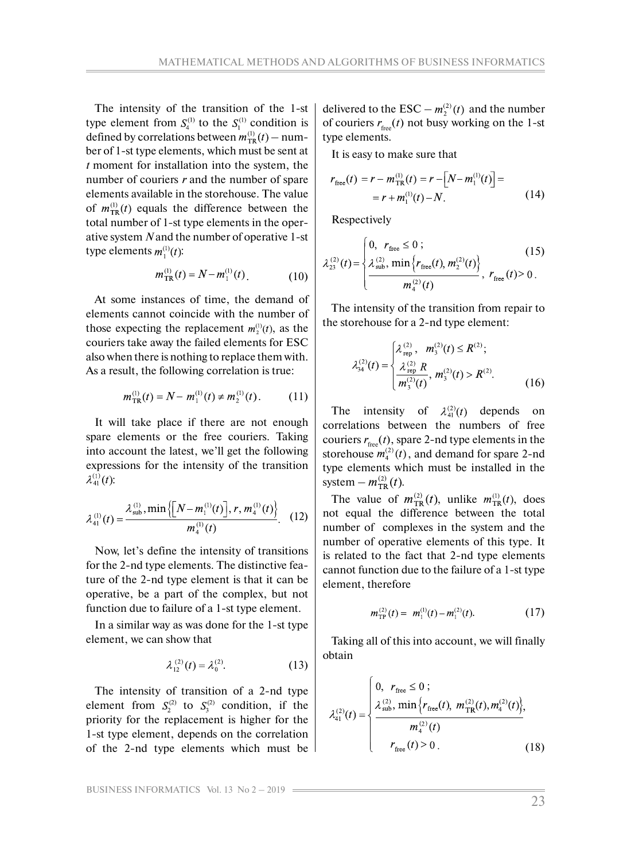The intensity of the transition of the 1-st type element from  $S_4^{(1)}$  to the  $S_1^{(1)}$  condition is defined by correlations between  $m_{TR}^{(1)}(t)$  – number of 1-st type elements, which must be sent at *t* moment for installation into the system, the number of couriers *r* and the number of spare elements available in the storehouse. The value of  $m_{TR}^{(1)}(t)$  equals the difference between the total number of 1-st type elements in the operative system *N* and the number of operative 1-st type elements  $m_1^{(1)}(t)$ :

$$
m_{\text{TR}}^{(1)}(t) = N - m_1^{(1)}(t) \tag{10}
$$

At some instances of time, the demand of elements cannot coincide with the number of those expecting the replacement  $m_2^{(1)}(t)$ , as the couriers take away the failed elements for ESC also when there is nothing to replace them with. As a result, the following correlation is true:

$$
m_{\text{TR}}^{(1)}(t) = N - m_1^{(1)}(t) \neq m_2^{(1)}(t). \tag{11}
$$

It will take place if there are not enough spare elements or the free couriers. Taking into account the latest, we'll get the following expressions for the intensity of the transition  $\lambda_{41}^{(1)}(t)$ :

$$
\lambda_{41}^{(1)}(t) = \frac{\lambda_{\text{sub}}^{(1)}, \min\left\{ \left[ N - m_1^{(1)}(t) \right], r, m_4^{(1)}(t) \right\}}{m_4^{(1)}(t)}.
$$
 (12)

Now, let's define the intensity of transitions for the 2-nd type elements. The distinctive feature of the 2-nd type element is that it can be operative, be a part of the complex, but not function due to failure of a 1-st type element.

In a similar way as was done for the 1-st type element, we can show that

$$
\lambda_{12}^{(2)}(t) = \lambda_0^{(2)}.
$$
 (13)

The intensity of transition of a 2-nd type element from  $S_2^{(2)}$  to  $S_3^{(2)}$  condition, if the priority for the replacement is higher for the 1-st type element, depends on the correlation of the 2-nd type elements which must be delivered to the ESC –  $m_2^{(2)}(t)$  and the number of couriers  $r_{\text{free}}(t)$  not busy working on the 1-st type elements.

It is easy to make sure that

$$
r_{\text{free}}(t) = r - m_{\text{TR}}^{(1)}(t) = r - \left[ N - m_1^{(1)}(t) \right] =
$$
  
=  $r + m_1^{(1)}(t) - N$ . (14)

Respectively

$$
\lambda_{23}^{(2)}(t) = \begin{cases} 0, & r_{\text{free}} \leq 0; \\ \frac{\lambda_{\text{sub}}^{(2)}, \min\left\{r_{\text{free}}(t), m_2^{(2)}(t)\right\}}{m_4^{(2)}(t)}, & r_{\text{free}}(t) > 0. \end{cases}
$$
(15)

The intensity of the transition from repair to the storehouse for a 2-nd type element:

$$
\lambda_{34}^{(2)}(t) = \begin{cases} \lambda_{\text{rep}}^{(2)}, & m_3^{(2)}(t) \le R^{(2)}; \\ \frac{\lambda_{\text{rep}}^{(2)} R}{m_3^{(2)}(t)}, & m_3^{(2)}(t) > R^{(2)}. \end{cases}
$$
(16)

The intensity of  $\lambda_{41}^{(2)}(t)$  depends on correlations between the numbers of free couriers  $r_{\text{free}}(t)$ , spare 2-nd type elements in the storehouse  $m_4^{(2)}(t)$ , and demand for spare 2-nd type elements which must be installed in the system –  $m_{TR}^{(2)}(t)$ .

The value of  $m_{TR}^{(2)}(t)$ , unlike  $m_{TR}^{(1)}(t)$ , does not equal the difference between the total number of complexes in the system and the number of operative elements of this type. It is related to the fact that 2-nd type elements cannot function due to the failure of a 1-st type element, therefore

$$
m_{\text{TP}}^{(2)}(t) = m_1^{(1)}(t) - m_1^{(2)}(t). \tag{17}
$$

Taking all of this into account, we will finally obtain

$$
\lambda_{41}^{(2)}(t) = \begin{cases}\n0, & r_{\text{free}} \leq 0; \\
\frac{\lambda_{\text{sub}}^{(2)}, \min\left\{r_{\text{free}}(t), m_{\text{TR}}^{(2)}(t), m_{4}^{(2)}(t)\right\}}{m_{4}^{(2)}(t)}, \\
r_{\text{free}}(t) > 0. \\
\end{cases}
$$
\n(18)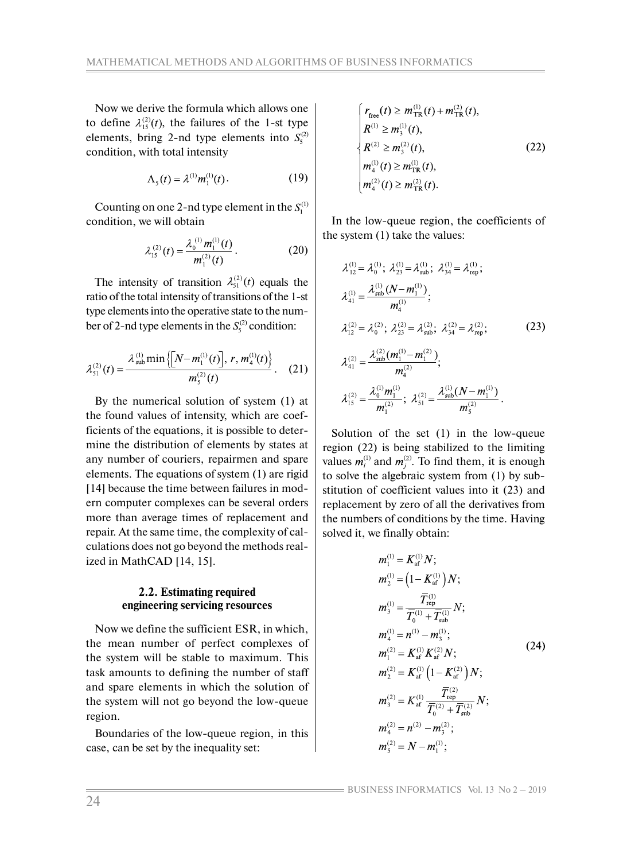Now we derive the formula which allows one to define  $\lambda_{15}^{(2)}(t)$ , the failures of the 1-st type elements, bring 2-nd type elements into  $S_5^{(2)}$ condition, with total intensity

$$
\Lambda_{5}(t) = \lambda^{(1)} m_{1}^{(1)}(t). \tag{19}
$$

Counting on one 2-nd type element in the  $S_1^{(1)}$ condition, we will obtain

$$
\lambda_{15}^{(2)}(t) = \frac{\lambda_0^{(1)} m_1^{(1)}(t)}{m_1^{(2)}(t)}.
$$
 (20)

The intensity of transition  $\lambda_{51}^{(2)}(t)$  equals the ratio of the total intensity of transitions of the 1-st type elements into the operative state to the number of 2-nd type elements in the  $S_5^{(2)}$  condition:

$$
\lambda_{s_1}^{(2)}(t) = \frac{\lambda_{\text{sub}}^{(1)} \min\left\{ \left[ N - m_1^{(1)}(t) \right], r, m_4^{(1)}(t) \right\}}{m_s^{(2)}(t)}.
$$
 (21)

By the numerical solution of system (1) at the found values of intensity, which are coefficients of the equations, it is possible to determine the distribution of elements by states at any number of couriers, repairmen and spare elements. The equations of system (1) are rigid [14] because the time between failures in modern computer complexes can be several orders more than average times of replacement and repair. At the same time, the complexity of calculations does not go beyond the methods realized in MathCAD [14, 15].

## **2.2. Estimating required engineering servicing resources**

Now we define the sufficient ESR, in which, the mean number of perfect complexes of the system will be stable to maximum. This task amounts to defining the number of staff and spare elements in which the solution of the system will not go beyond the low-queue region.

Boundaries of the low-queue region, in this case, can be set by the inequality set:

$$
\begin{cases}\nr_{\text{free}}(t) \ge m_{\text{TR}}^{(1)}(t) + m_{\text{TR}}^{(2)}(t), \\
R^{(1)} \ge m_{3}^{(1)}(t), \\
R^{(2)} \ge m_{3}^{(2)}(t), \\
m_{4}^{(1)}(t) \ge m_{\text{TR}}^{(1)}(t), \\
m_{4}^{(2)}(t) \ge m_{\text{TR}}^{(2)}(t).\n\end{cases} \tag{22}
$$

In the low-queue region, the coefficients of the system (1) take the values:

$$
\lambda_{12}^{(1)} = \lambda_0^{(1)}; \ \lambda_{23}^{(1)} = \lambda_{\text{sub}}^{(1)}; \ \lambda_{34}^{(1)} = \lambda_{\text{rep}}^{(1)}; \n\lambda_{41}^{(1)} = \frac{\lambda_{\text{sub}}^{(1)} (N - m_1^{(1)})}{m_4^{(1)}}; \n\lambda_{12}^{(2)} = \lambda_0^{(2)}; \ \lambda_{23}^{(2)} = \lambda_{\text{sub}}^{(2)}; \ \lambda_{34}^{(2)} = \lambda_{\text{rep}}^{(2)}; \n\lambda_{41}^{(2)} = \frac{\lambda_{\text{sub}}^{(2)} (m_1^{(1)} - m_1^{(2)})}{m_4^{(2)}}; \n\lambda_{15}^{(2)} = \frac{\lambda_0^{(1)} m_1^{(1)}}{m_1^{(2)}}; \ \lambda_{51}^{(2)} = \frac{\lambda_{\text{sub}}^{(1)} (N - m_1^{(1)})}{m_5^{(2)}}.
$$
\n(23)

Solution of the set (1) in the low-queue region (22) is being stabilized to the limiting values  $m_i^{(1)}$  and  $m_i^{(2)}$ . To find them, it is enough to solve the algebraic system from (1) by substitution of coefficient values into it (23) and replacement by zero of all the derivatives from the numbers of conditions by the time. Having solved it, we finally obtain:

$$
m_1^{(1)} = K_{\text{af}}^{(1)} N; \nm_2^{(1)} = (1 - K_{\text{af}}^{(1)}) N; \nm_3^{(1)} = \frac{\overline{T}_{\text{rep}}^{(1)}}{\overline{T}_0^{(1)} + \overline{T}_{\text{sub}}^{(1)}} N; \nm_4^{(1)} = n^{(1)} - m_3^{(1)}; \nm_1^{(2)} = K_{\text{af}}^{(1)} K_{\text{af}}^{(2)} N; \nm_2^{(2)} = K_{\text{af}}^{(1)} (1 - K_{\text{af}}^{(2)}) N; \nm_3^{(2)} = K_{\text{af}}^{(1)} \frac{\overline{T}_{\text{rep}}^{(2)}}{\overline{T}_0^{(2)} + \overline{T}_{\text{sub}}^{(2)}} N; \nm_4^{(2)} = n^{(2)} - m_3^{(2)}; \nm_5^{(2)} = N - m_1^{(1)}; \nm_6^{(1)} = N - m_1^{(1)}; \nm_7^{(2)} = N - m_1^{(1)}; \nm_8^{(2)} = N - m_1^{(1)}; \nm_9^{(3)} = N - m_1^{(1)}; \nm_9^{(4)} = N - m_1^{(1)}; \nm_1^{(5)} = N - m_1^{(1)}; \nm_1^{(6)} = N - m_1^{(1)}; \nm_1^{(7)} = N - m_1^{(1)}; \nm_1^{(8)} = N - m_1^{(1)}; \nm_1^{(1)} = N - m_1^{(1)}; \nm_2^{(1)} = N - m_1^{(1)}; \nm_3^{(2)} = N - m_1^{(1)}; \nm_4^{(3)} = N - m_1^{(1)}; \nm_5^{(4)} = N - m_1^{(1)}; \nm_6^{(5)} = N - m_1^{(1)}; \nm_7^{(6)} = N - m_1^{(1)}; \nm_8^{(7)} = N - m_1^{(1)}; \nm_9^{(8)} = N - m_1^{(1)}; \nm_1^{(1)} = N - m_1^{(1)}; \nm_1^{(1)} = N - m_1^{(1)}; \nm_1^{(2)} = N - m_1^{(1)}; \nm_1^{
$$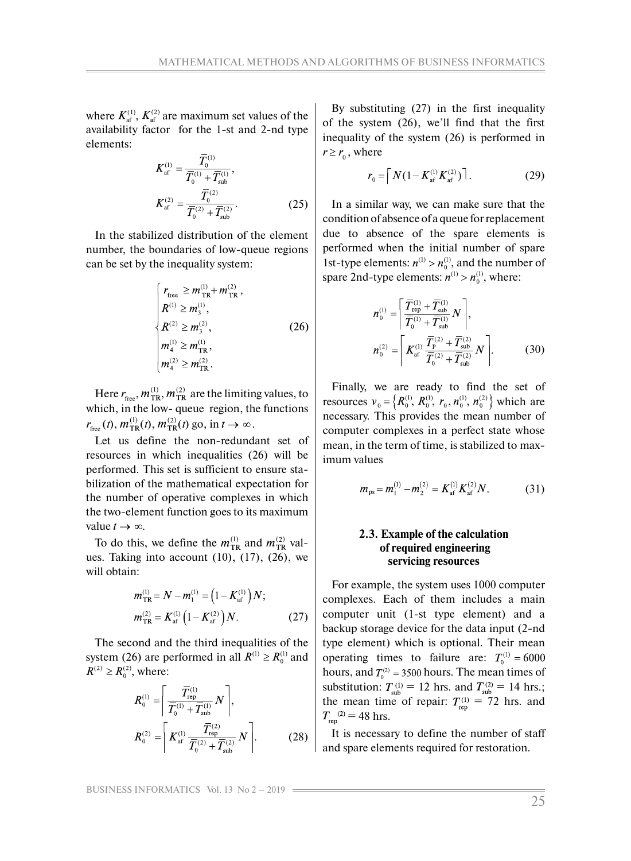where  $K_{\text{af}}^{(1)}$ ,  $K_{\text{af}}^{(2)}$  are maximum set values of the availability factor for the 1-st and 2-nd type elements:

$$
K_{\text{af}}^{(1)} = \frac{\overline{T}_0^{(1)}}{\overline{T}_0^{(1)} + \overline{T}_{\text{sub}}^{(1)}},
$$
  

$$
K_{\text{af}}^{(2)} = \frac{\overline{T}_0^{(2)}}{\overline{T}_0^{(2)} + \overline{T}_{\text{sub}}^{(2)}}.
$$
 (25)

In the stabilized distribution of the element number, the boundaries of low-queue regions can be set by the inequality system:

$$
\begin{cases}\nr_{\text{free}} \ge m_{\text{TR}}^{(1)} + m_{\text{TR}}^{(2)}, \nR^{(1)} \ge m_3^{(1)}, \nR^{(2)} \ge m_3^{(2)}, \n m_4^{(1)} \ge m_{\text{TR}}^{(1)}, \n m_4^{(2)} \ge m_{\text{TR}}^{(2)}.\n\end{cases}
$$
\n(26)

Here  $r_{\text{free}}$ ,  $m_{\text{TR}}^{(1)}$ ,  $m_{\text{TR}}^{(2)}$  are the limiting values, to which, in the low- queue region, the functions  $r_{\text{free}}(t)$ ,  $m_{\text{TR}}^{(1)}(t)$ ,  $m_{\text{TR}}^{(2)}(t)$  go, in  $t \to \infty$ .

Let us define the non-redundant set of resources in which inequalities (26) will be performed. This set is sufficient to ensure stabilization of the mathematical expectation for the number of operative complexes in which the two-element function goes to its maximum value  $t \to \infty$ .

To do this, we define the  $m_{TR}^{(1)}$  and  $m_{TR}^{(2)}$  values. Taking into account  $(10)$ ,  $(17)$ ,  $(26)$ , we will obtain:

$$
m_{\text{TR}}^{(1)} = N - m_1^{(1)} = \left(1 - K_{\text{af}}^{(1)}\right)N;
$$
  

$$
m_{\text{TR}}^{(2)} = K_{\text{af}}^{(1)}\left(1 - K_{\text{af}}^{(2)}\right)N.
$$
 (27)

The second and the third inequalities of the system (26) are performed in all  $R^{(1)} \ge R_0^{(1)}$  and  $R^{(2)} \ge R_0^{(2)}$ , where:

$$
R_0^{(1)} = \left[ \frac{\overline{T}_{\text{rep}}^{(1)}}{\overline{T}_0^{(1)} + \overline{T}_{\text{sub}}^{(1)}} N \right],
$$
  

$$
R_0^{(2)} = \left[ K_{\text{af}}^{(1)} \frac{\overline{T}_{\text{rep}}^{(2)}}{\overline{T}_0^{(2)} + \overline{T}_{\text{sub}}^{(2)}} N \right].
$$
 (28)

By substituting (27) in the first inequality of the system (26), we'll find that the first inequality of the system (26) is performed in  $r \ge r_0$ , where

$$
r_0 = \left\lceil N(1 - K_{\text{af}}^{(1)} K_{\text{af}}^{(2)}) \right\rceil. \tag{29}
$$

In a similar way, we can make sure that the condition of absence of a queue for replacement due to absence of the spare elements is performed when the initial number of spare 1st-type elements:  $n^{(1)} > n_0^{(1)}$ , and the number of spare 2nd-type elements:  $n^{(1)} > n_0^{(1)}$ , where:

$$
n_0^{(1)} = \left[ \frac{\overline{T}_{\rm rep}^{(1)} + \overline{T}_{\rm sub}^{(1)}}{\overline{T}_0^{(1)} + \overline{T}_{\rm sub}^{(1)}} N \right],
$$
  

$$
n_0^{(2)} = \left[ K_{\rm af}^{(1)} \frac{\overline{T}_{\rm p}^{(2)} + \overline{T}_{\rm sub}^{(2)}}{\overline{T}_0^{(2)} + \overline{T}_{\rm sub}^{(2)}} N \right].
$$
 (30)

Finally, we are ready to find the set of resources  $v_0 = \left\{ R_0^{(1)}, R_0^{(1)}, r_0, n_0^{(1)}, n_0^{(2)} \right\}$  which are necessary. This provides the mean number of computer complexes in a perfect state whose mean, in the term of time, is stabilized to maximum values

$$
m_{\rm ps} = m_1^{(1)} - m_2^{(2)} = K_{\rm af}^{(1)} K_{\rm af}^{(2)} N. \tag{31}
$$

## **2.3. Example of the calculation of required engineering servicing resources**

For example, the system uses 1000 computer complexes. Each of them includes a main computer unit (1-st type element) and a backup storage device for the data input (2-nd type element) which is optional. Their mean operating times to failure are:  $T_0^{(1)} = 6000$ hours, and  $T_0^{(2)} = 3500$  hours. The mean times of substitution:  $T_{sub}^{(1)} = 12$  hrs. and  $T_{sub}^{(2)} = 14$  hrs.; the mean time of repair:  $T_{\text{rep}}^{(1)} = 72$  hrs. and  $T_{\rm ren}^{(2)} = 48$  hrs.

It is necessary to define the number of staff and spare elements required for restoration.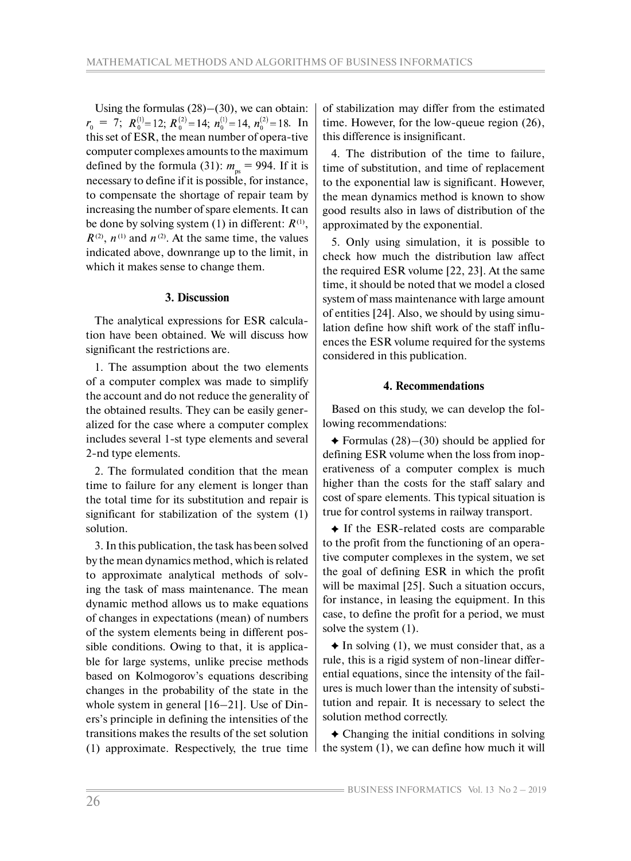Using the formulas  $(28)$ – $(30)$ , we can obtain:  $r_0$  = 7;  $R_0^{(1)}=12$ ;  $R_0^{(2)}=14$ ;  $n_0^{(1)}=14$ ,  $n_0^{(2)}=18$ . In this set of ESR, the mean number of opera-tive computer complexes amounts to the maximum defined by the formula (31):  $m_{\text{ps}} = 994$ . If it is necessary to define if it is possible, for instance, to compensate the shortage of repair team by increasing the number of spare elements. It can be done by solving system (1) in different:  $R^{(1)}$ ,  $R^{(2)}$ ,  $n^{(1)}$  and  $n^{(2)}$ . At the same time, the values indicated above, downrange up to the limit, in which it makes sense to change them.

## **3. Discussion**

The analytical expressions for ESR calculation have been obtained. We will discuss how significant the restrictions are.

1. The assumption about the two elements of a computer complex was made to simplify the account and do not reduce the generality of the obtained results. They can be easily generalized for the case where a computer complex includes several 1-st type elements and several 2-nd type elements.

2. The formulated condition that the mean time to failure for any element is longer than the total time for its substitution and repair is significant for stabilization of the system (1) solution.

3. In this publication, the task has been solved by the mean dynamics method, which is related to approximate analytical methods of solving the task of mass maintenance. The mean dynamic method allows us to make equations of changes in expectations (mean) of numbers of the system elements being in different possible conditions. Owing to that, it is applicable for large systems, unlike precise methods based on Kolmogorov's equations describing changes in the probability of the state in the whole system in general [16–21]. Use of Diners's principle in defining the intensities of the transitions makes the results of the set solution (1) approximate. Respectively, the true time of stabilization may differ from the estimated time. However, for the low-queue region (26), this difference is insignificant.

4. The distribution of the time to failure, time of substitution, and time of replacement to the exponential law is significant. However, the mean dynamics method is known to show good results also in laws of distribution of the approximated by the exponential.

5. Only using simulation, it is possible to check how much the distribution law affect the required ESR volume [22, 23]. At the same time, it should be noted that we model a closed system of mass maintenance with large amount of entities [24]. Also, we should by using simulation define how shift work of the staff influences the ESR volume required for the systems considered in this publication.

## **4. Recommendations**

Based on this study, we can develop the following recommendations:

 $\triangle$  Formulas (28)–(30) should be applied for defining ESR volume when the loss from inoperativeness of a computer complex is much higher than the costs for the staff salary and cost of spare elements. This typical situation is true for control systems in railway transport.

 If the ESR-related costs are comparable to the profit from the functioning of an operative computer complexes in the system, we set the goal of defining ESR in which the profit will be maximal [25]. Such a situation occurs, for instance, in leasing the equipment. In this case, to define the profit for a period, we must solve the system (1).

 $\triangle$  In solving (1), we must consider that, as a rule, this is a rigid system of non-linear differential equations, since the intensity of the failures is much lower than the intensity of substitution and repair. It is necessary to select the solution method correctly.

 Changing the initial conditions in solving the system (1), we can define how much it will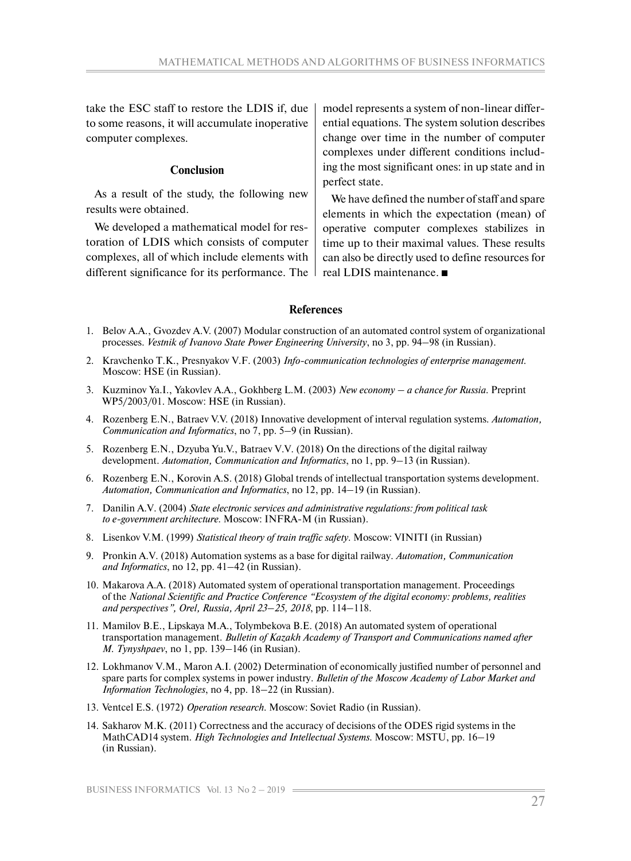take the ESC staff to restore the LDIS if, due to some reasons, it will accumulate inoperative computer complexes.

#### **Conclusion**

As a result of the study, the following new results were obtained.

We developed a mathematical model for restoration of LDIS which consists of computer complexes, all of which include elements with different significance for its performance. The model represents a system of non-linear differential equations. The system solution describes change over time in the number of computer complexes under different conditions including the most significant ones: in up state and in perfect state.

We have defined the number of staff and spare elements in which the expectation (mean) of operative computer complexes stabilizes in time up to their maximal values. These results can also be directly used to define resources for real LDIS maintenance.

#### **References**

- 1. Belov A.A., Gvozdev A.V. (2007) Modular construction of an automated control system of organizational processes. *Vestnik of Ivanovo State Power Engineering University*, no 3, pp. 94–98 (in Russian).
- 2. Kravchenko T.K., Presnyakov V.F. (2003) *Info-communication technologies of enterprise management*. Moscow: HSE (in Russian).
- 3. Kuzminov Ya.I., Yakovlev A.A., Gokhberg L.M. (2003) *New economy a chance for Russia*. Preprint WP5/2003/01. Moscow: HSE (in Russian).
- 4. Rozenberg E.N., Batraev V.V. (2018) Innovative development of interval regulation systems. *Automation, Communication and Informatics*, no 7, pp. 5–9 (in Russian).
- 5. Rozenberg E.N., Dzyuba Yu.V., Batraev V.V. (2018) On the directions of the digital railway development. *Automation, Communication and Informatics*, no 1, pp. 9–13 (in Russian).
- 6. Rozenberg E.N., Korovin A.S. (2018) Global trends of intellectual transportation systems development. *Automation, Communication and Informatics*, no 12, pp. 14–19 (in Russian).
- 7. Danilin A.V. (2004) *State electronic services and administrative regulations: from political task to e-government architecture*. Moscow: INFRA-M (in Russian).
- 8. Lisenkov V.M. (1999) *Statistical theory of train traffic safety*. Moscow: VINITI (in Russian)
- 9. Pronkin A.V. (2018) Automation systems as a base for digital railway. *Automation, Communication and Informatics*, no 12, pp. 41–42 (in Russian).
- 10. Makarova A.A. (2018) Automated system of operational transportation management. Proceedings of the *National Scientific and Practice Conference "Ecosystem of the digital economy: problems, realities and perspectives", Orel, Russia, April 23–25, 2018*, pp. 114–118.
- 11. Mamilov B.E., Lipskaya M.A., Tolymbekova B.E. (2018) An automated system of operational transportation management. *Bulletin of Kazakh Academy of Transport and Communications named after M. Tynyshpaev*, no 1, pp. 139–146 (in Rusian).
- 12. Lokhmanov V.M., Maron A.I. (2002) Determination of economically justified number of personnel and spare parts for complex systems in power industry. *Bulletin of the Moscow Academy of Labor Market and Information Technologies*, no 4, pp. 18–22 (in Russian).
- 13. Ventcel E.S. (1972) *Operation research*. Moscow: Soviet Radio (in Russian).
- 14. Sakharov M.K. (2011) Correctness and the accuracy of decisions of the ODES rigid systems in the MathCAD14 system. *High Technologies and Intellectual Systems*. Moscow: MSTU, pp. 16–19 (in Russian).